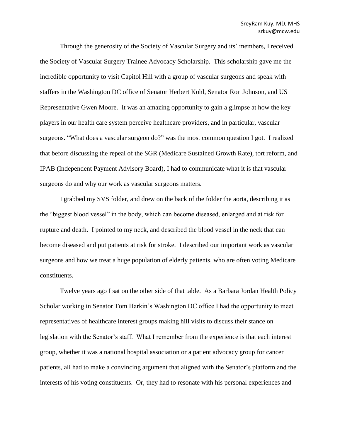Through the generosity of the Society of Vascular Surgery and its' members, I received the Society of Vascular Surgery Trainee Advocacy Scholarship. This scholarship gave me the incredible opportunity to visit Capitol Hill with a group of vascular surgeons and speak with staffers in the Washington DC office of Senator Herbert Kohl, Senator Ron Johnson, and US Representative Gwen Moore. It was an amazing opportunity to gain a glimpse at how the key players in our health care system perceive healthcare providers, and in particular, vascular surgeons. "What does a vascular surgeon do?" was the most common question I got. I realized that before discussing the repeal of the SGR (Medicare Sustained Growth Rate), tort reform, and IPAB (Independent Payment Advisory Board), I had to communicate what it is that vascular surgeons do and why our work as vascular surgeons matters.

I grabbed my SVS folder, and drew on the back of the folder the aorta, describing it as the "biggest blood vessel" in the body, which can become diseased, enlarged and at risk for rupture and death. I pointed to my neck, and described the blood vessel in the neck that can become diseased and put patients at risk for stroke. I described our important work as vascular surgeons and how we treat a huge population of elderly patients, who are often voting Medicare constituents.

Twelve years ago I sat on the other side of that table. As a Barbara Jordan Health Policy Scholar working in Senator Tom Harkin's Washington DC office I had the opportunity to meet representatives of healthcare interest groups making hill visits to discuss their stance on legislation with the Senator's staff. What I remember from the experience is that each interest group, whether it was a national hospital association or a patient advocacy group for cancer patients, all had to make a convincing argument that aligned with the Senator's platform and the interests of his voting constituents. Or, they had to resonate with his personal experiences and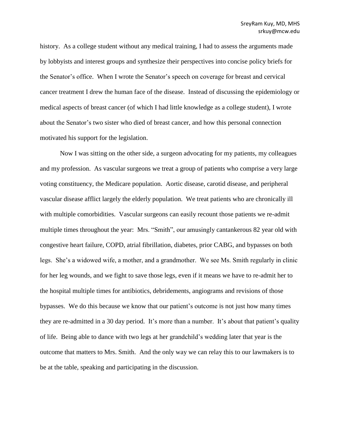history. As a college student without any medical training, I had to assess the arguments made by lobbyists and interest groups and synthesize their perspectives into concise policy briefs for the Senator's office. When I wrote the Senator's speech on coverage for breast and cervical cancer treatment I drew the human face of the disease. Instead of discussing the epidemiology or medical aspects of breast cancer (of which I had little knowledge as a college student), I wrote about the Senator's two sister who died of breast cancer, and how this personal connection motivated his support for the legislation.

Now I was sitting on the other side, a surgeon advocating for my patients, my colleagues and my profession. As vascular surgeons we treat a group of patients who comprise a very large voting constituency, the Medicare population. Aortic disease, carotid disease, and peripheral vascular disease afflict largely the elderly population. We treat patients who are chronically ill with multiple comorbidities. Vascular surgeons can easily recount those patients we re-admit multiple times throughout the year: Mrs. "Smith", our amusingly cantankerous 82 year old with congestive heart failure, COPD, atrial fibrillation, diabetes, prior CABG, and bypasses on both legs. She's a widowed wife, a mother, and a grandmother. We see Ms. Smith regularly in clinic for her leg wounds, and we fight to save those legs, even if it means we have to re-admit her to the hospital multiple times for antibiotics, debridements, angiograms and revisions of those bypasses. We do this because we know that our patient's outcome is not just how many times they are re-admitted in a 30 day period. It's more than a number. It's about that patient's quality of life. Being able to dance with two legs at her grandchild's wedding later that year is the outcome that matters to Mrs. Smith. And the only way we can relay this to our lawmakers is to be at the table, speaking and participating in the discussion.